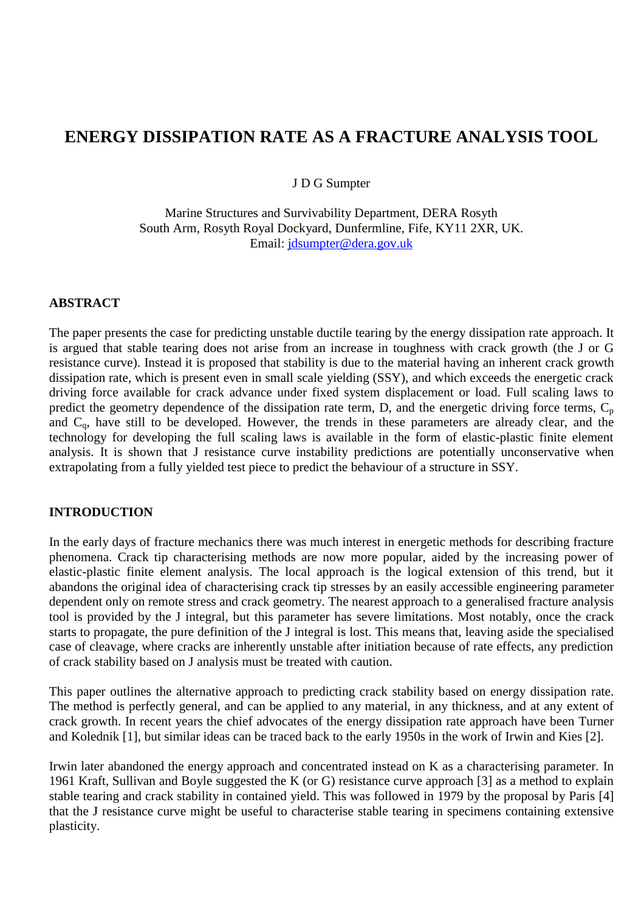# **ENERGY DISSIPATION RATE AS A FRACTURE ANALYSIS TOOL**

J D G Sumpter

Marine Structures and Survivability Department, DERA Rosyth South Arm, Rosyth Royal Dockyard, Dunfermline, Fife, KY11 2XR, UK. Email: jdsumpter@dera.gov.uk

#### **ABSTRACT**

The paper presents the case for predicting unstable ductile tearing by the energy dissipation rate approach. It is argued that stable tearing does not arise from an increase in toughness with crack growth (the J or G resistance curve). Instead it is proposed that stability is due to the material having an inherent crack growth dissipation rate, which is present even in small scale yielding (SSY), and which exceeds the energetic crack driving force available for crack advance under fixed system displacement or load. Full scaling laws to predict the geometry dependence of the dissipation rate term,  $D$ , and the energetic driving force terms,  $C_p$ and C<sub>q</sub>, have still to be developed. However, the trends in these parameters are already clear, and the technology for developing the full scaling laws is available in the form of elastic-plastic finite element analysis. It is shown that J resistance curve instability predictions are potentially unconservative when extrapolating from a fully yielded test piece to predict the behaviour of a structure in SSY.

## **INTRODUCTION**

In the early days of fracture mechanics there was much interest in energetic methods for describing fracture phenomena. Crack tip characterising methods are now more popular, aided by the increasing power of elastic-plastic finite element analysis. The local approach is the logical extension of this trend, but it abandons the original idea of characterising crack tip stresses by an easily accessible engineering parameter dependent only on remote stress and crack geometry. The nearest approach to a generalised fracture analysis tool is provided by the J integral, but this parameter has severe limitations. Most notably, once the crack starts to propagate, the pure definition of the J integral is lost. This means that, leaving aside the specialised case of cleavage, where cracks are inherently unstable after initiation because of rate effects, any prediction of crack stability based on J analysis must be treated with caution.

This paper outlines the alternative approach to predicting crack stability based on energy dissipation rate. The method is perfectly general, and can be applied to any material, in any thickness, and at any extent of crack growth. In recent years the chief advocates of the energy dissipation rate approach have been Turner and Kolednik [1], but similar ideas can be traced back to the early 1950s in the work of Irwin and Kies [2].

Irwin later abandoned the energy approach and concentrated instead on K as a characterising parameter. In 1961 Kraft, Sullivan and Boyle suggested the K (or G) resistance curve approach [3] as a method to explain stable tearing and crack stability in contained yield. This was followed in 1979 by the proposal by Paris [4] that the J resistance curve might be useful to characterise stable tearing in specimens containing extensive plasticity.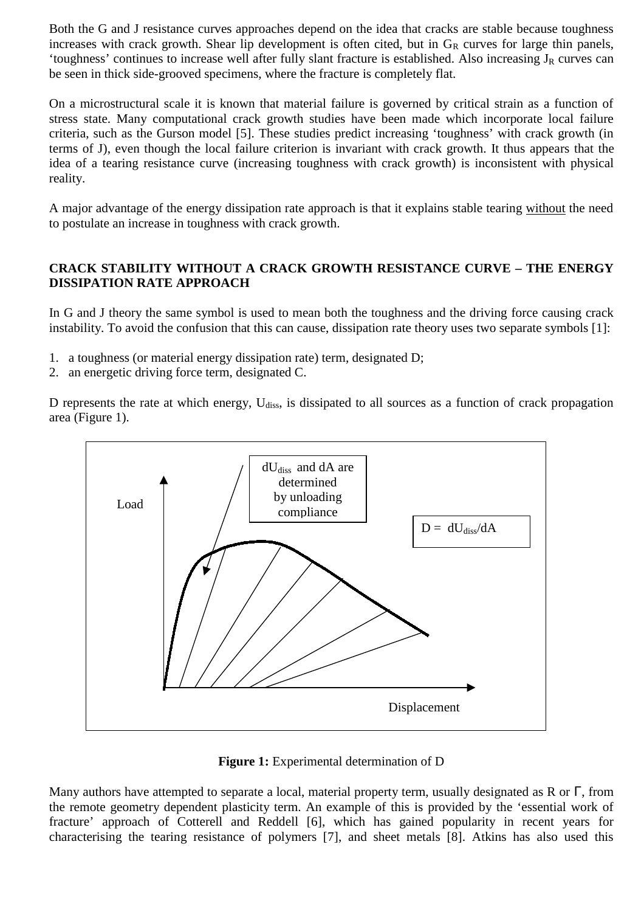Both the G and J resistance curves approaches depend on the idea that cracks are stable because toughness increases with crack growth. Shear lip development is often cited, but in  $G_R$  curves for large thin panels, 'toughness' continues to increase well after fully slant fracture is established. Also increasing  $J_R$  curves can be seen in thick side-grooved specimens, where the fracture is completely flat.

On a microstructural scale it is known that material failure is governed by critical strain as a function of stress state. Many computational crack growth studies have been made which incorporate local failure criteria, such as the Gurson model [5]. These studies predict increasing 'toughness' with crack growth (in terms of J), even though the local failure criterion is invariant with crack growth. It thus appears that the idea of a tearing resistance curve (increasing toughness with crack growth) is inconsistent with physical reality.

A major advantage of the energy dissipation rate approach is that it explains stable tearing without the need to postulate an increase in toughness with crack growth.

## **CRACK STABILITY WITHOUT A CRACK GROWTH RESISTANCE CURVE – THE ENERGY DISSIPATION RATE APPROACH**

In G and J theory the same symbol is used to mean both the toughness and the driving force causing crack instability. To avoid the confusion that this can cause, dissipation rate theory uses two separate symbols [1]:

- 1. a toughness (or material energy dissipation rate) term, designated D;
- 2. an energetic driving force term, designated C.

D represents the rate at which energy,  $U_{\text{diss}}$ , is dissipated to all sources as a function of crack propagation area (Figure 1).



**Figure 1:** Experimental determination of D

Many authors have attempted to separate a local, material property term, usually designated as R or  $\Gamma$ , from the remote geometry dependent plasticity term. An example of this is provided by the 'essential work of fracture' approach of Cotterell and Reddell [6], which has gained popularity in recent years for characterising the tearing resistance of polymers [7], and sheet metals [8]. Atkins has also used this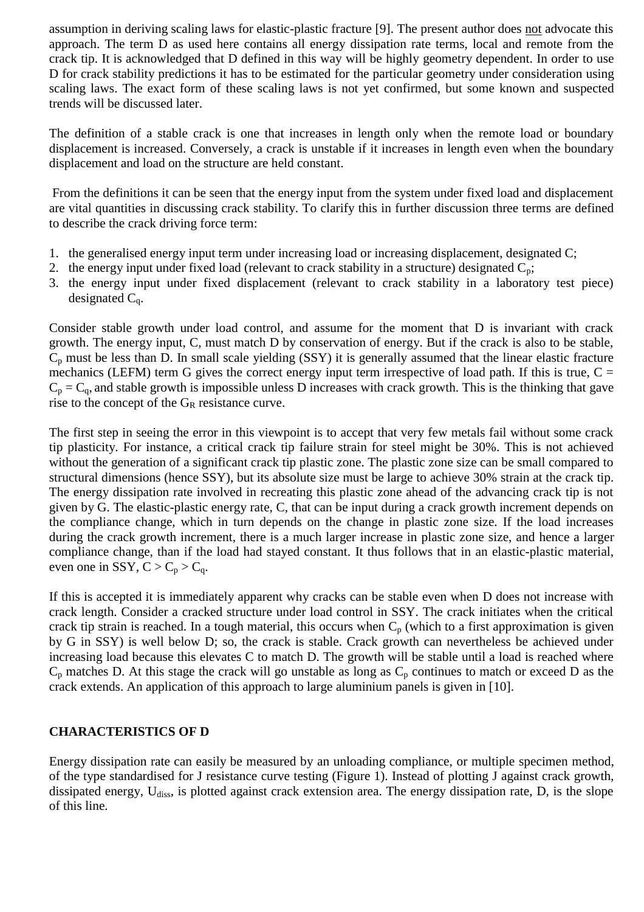assumption in deriving scaling laws for elastic-plastic fracture [9]. The present author does not advocate this approach. The term D as used here contains all energy dissipation rate terms, local and remote from the crack tip. It is acknowledged that D defined in this way will be highly geometry dependent. In order to use D for crack stability predictions it has to be estimated for the particular geometry under consideration using scaling laws. The exact form of these scaling laws is not yet confirmed, but some known and suspected trends will be discussed later.

The definition of a stable crack is one that increases in length only when the remote load or boundary displacement is increased. Conversely, a crack is unstable if it increases in length even when the boundary displacement and load on the structure are held constant.

 From the definitions it can be seen that the energy input from the system under fixed load and displacement are vital quantities in discussing crack stability. To clarify this in further discussion three terms are defined to describe the crack driving force term:

- 1. the generalised energy input term under increasing load or increasing displacement, designated C;
- 2. the energy input under fixed load (relevant to crack stability in a structure) designated  $C_p$ ;
- 3. the energy input under fixed displacement (relevant to crack stability in a laboratory test piece) designated  $C_q$ .

Consider stable growth under load control, and assume for the moment that D is invariant with crack growth. The energy input, C, must match D by conservation of energy. But if the crack is also to be stable,  $C_p$  must be less than D. In small scale yielding (SSY) it is generally assumed that the linear elastic fracture mechanics (LEFM) term G gives the correct energy input term irrespective of load path. If this is true,  $C =$  $C_p = C_q$ , and stable growth is impossible unless D increases with crack growth. This is the thinking that gave rise to the concept of the  $G_R$  resistance curve.

The first step in seeing the error in this viewpoint is to accept that very few metals fail without some crack tip plasticity. For instance, a critical crack tip failure strain for steel might be 30%. This is not achieved without the generation of a significant crack tip plastic zone. The plastic zone size can be small compared to structural dimensions (hence SSY), but its absolute size must be large to achieve 30% strain at the crack tip. The energy dissipation rate involved in recreating this plastic zone ahead of the advancing crack tip is not given by G. The elastic-plastic energy rate, C, that can be input during a crack growth increment depends on the compliance change, which in turn depends on the change in plastic zone size. If the load increases during the crack growth increment, there is a much larger increase in plastic zone size, and hence a larger compliance change, than if the load had stayed constant. It thus follows that in an elastic-plastic material, even one in SSY,  $C > C_p > C_q$ .

If this is accepted it is immediately apparent why cracks can be stable even when D does not increase with crack length. Consider a cracked structure under load control in SSY. The crack initiates when the critical crack tip strain is reached. In a tough material, this occurs when  $C_p$  (which to a first approximation is given by G in SSY) is well below D; so, the crack is stable. Crack growth can nevertheless be achieved under increasing load because this elevates C to match D. The growth will be stable until a load is reached where  $C_p$  matches D. At this stage the crack will go unstable as long as  $C_p$  continues to match or exceed D as the crack extends. An application of this approach to large aluminium panels is given in [10].

## **CHARACTERISTICS OF D**

Energy dissipation rate can easily be measured by an unloading compliance, or multiple specimen method, of the type standardised for J resistance curve testing (Figure 1). Instead of plotting J against crack growth, dissipated energy, U<sub>diss</sub>, is plotted against crack extension area. The energy dissipation rate, D, is the slope of this line.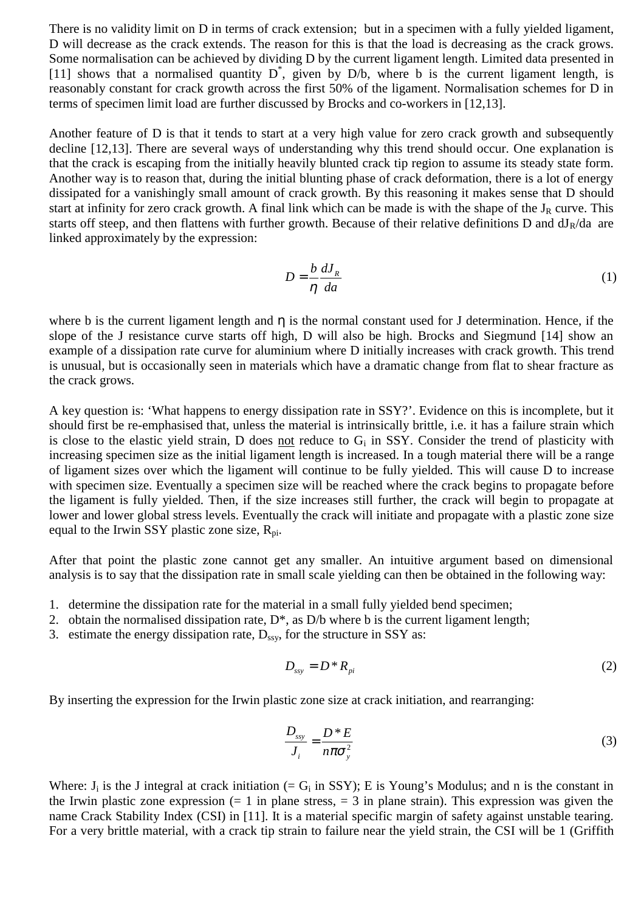There is no validity limit on D in terms of crack extension; but in a specimen with a fully yielded ligament, D will decrease as the crack extends. The reason for this is that the load is decreasing as the crack grows. Some normalisation can be achieved by dividing D by the current ligament length. Limited data presented in [11] shows that a normalised quantity  $D^*$ , given by D/b, where b is the current ligament length, is reasonably constant for crack growth across the first 50% of the ligament. Normalisation schemes for D in terms of specimen limit load are further discussed by Brocks and co-workers in [12,13].

Another feature of D is that it tends to start at a very high value for zero crack growth and subsequently decline [12,13]. There are several ways of understanding why this trend should occur. One explanation is that the crack is escaping from the initially heavily blunted crack tip region to assume its steady state form. Another way is to reason that, during the initial blunting phase of crack deformation, there is a lot of energy dissipated for a vanishingly small amount of crack growth. By this reasoning it makes sense that D should start at infinity for zero crack growth. A final link which can be made is with the shape of the  $J_R$  curve. This starts off steep, and then flattens with further growth. Because of their relative definitions D and  $dJ_R/da$  are linked approximately by the expression:

$$
D = \frac{b}{\eta} \frac{dJ_R}{da} \tag{1}
$$

where b is the current ligament length and  $\eta$  is the normal constant used for J determination. Hence, if the slope of the J resistance curve starts off high, D will also be high. Brocks and Siegmund [14] show an example of a dissipation rate curve for aluminium where D initially increases with crack growth. This trend is unusual, but is occasionally seen in materials which have a dramatic change from flat to shear fracture as the crack grows.

A key question is: 'What happens to energy dissipation rate in SSY?'. Evidence on this is incomplete, but it should first be re-emphasised that, unless the material is intrinsically brittle, i.e. it has a failure strain which is close to the elastic yield strain, D does not reduce to  $G_i$  in SSY. Consider the trend of plasticity with increasing specimen size as the initial ligament length is increased. In a tough material there will be a range of ligament sizes over which the ligament will continue to be fully yielded. This will cause D to increase with specimen size. Eventually a specimen size will be reached where the crack begins to propagate before the ligament is fully yielded. Then, if the size increases still further, the crack will begin to propagate at lower and lower global stress levels. Eventually the crack will initiate and propagate with a plastic zone size equal to the Irwin SSY plastic zone size,  $R_{\text{pi}}$ .

After that point the plastic zone cannot get any smaller. An intuitive argument based on dimensional analysis is to say that the dissipation rate in small scale yielding can then be obtained in the following way:

- 1. determine the dissipation rate for the material in a small fully yielded bend specimen;
- 2. obtain the normalised dissipation rate,  $D^*$ , as  $D/b$  where b is the current ligament length;
- 3. estimate the energy dissipation rate,  $D_{ssy}$ , for the structure in SSY as:

$$
D_{\rm ssy} = D^* R_{\rm pi} \tag{2}
$$

By inserting the expression for the Irwin plastic zone size at crack initiation, and rearranging:

$$
\frac{D_{\text{ssy}}}{J_i} = \frac{D^* E}{n \pi \sigma_y^2}
$$
 (3)

Where:  $J_i$  is the J integral at crack initiation (=  $G_i$  in SSY); E is Young's Modulus; and n is the constant in the Irwin plastic zone expression  $(= 1 \text{ in plane stress, } = 3 \text{ in plane strain})$ . This expression was given the name Crack Stability Index (CSI) in [11]. It is a material specific margin of safety against unstable tearing. For a very brittle material, with a crack tip strain to failure near the yield strain, the CSI will be 1 (Griffith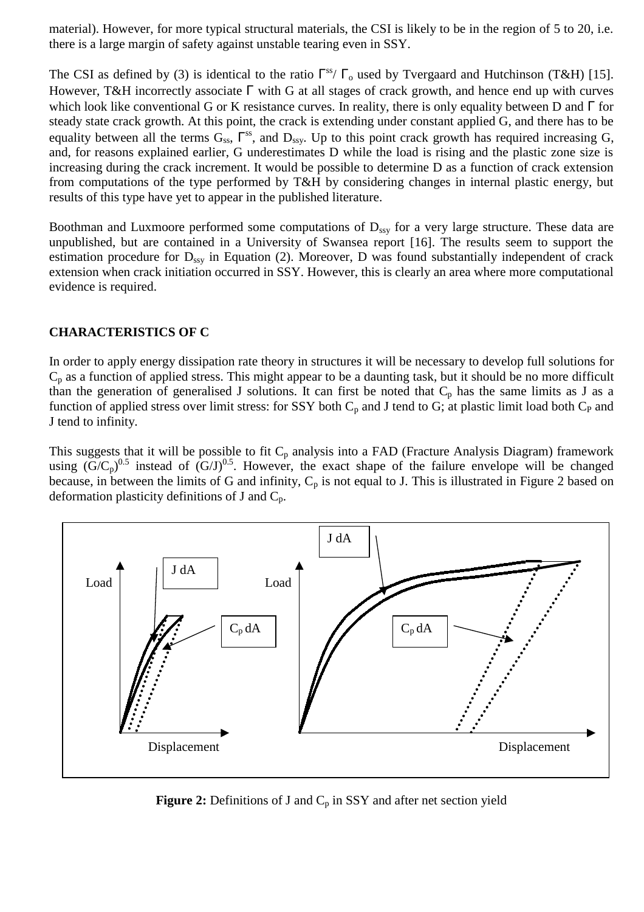material). However, for more typical structural materials, the CSI is likely to be in the region of 5 to 20, i.e. there is a large margin of safety against unstable tearing even in SSY.

The CSI as defined by (3) is identical to the ratio  $\Gamma^{ss}/\Gamma_o$  used by Tvergaard and Hutchinson (T&H) [15]. However, T&H incorrectly associate Γ with G at all stages of crack growth, and hence end up with curves which look like conventional G or K resistance curves. In reality, there is only equality between D and Γ for steady state crack growth. At this point, the crack is extending under constant applied G, and there has to be equality between all the terms  $G_{ss}$ ,  $\Gamma^{ss}$ , and  $D_{ssv}$ . Up to this point crack growth has required increasing G, and, for reasons explained earlier, G underestimates D while the load is rising and the plastic zone size is increasing during the crack increment. It would be possible to determine D as a function of crack extension from computations of the type performed by T&H by considering changes in internal plastic energy, but results of this type have yet to appear in the published literature.

Boothman and Luxmoore performed some computations of  $D_{ssy}$  for a very large structure. These data are unpublished, but are contained in a University of Swansea report [16]. The results seem to support the estimation procedure for  $D_{ssy}$  in Equation (2). Moreover, D was found substantially independent of crack extension when crack initiation occurred in SSY. However, this is clearly an area where more computational evidence is required.

#### **CHARACTERISTICS OF C**

In order to apply energy dissipation rate theory in structures it will be necessary to develop full solutions for  $C_p$  as a function of applied stress. This might appear to be a daunting task, but it should be no more difficult than the generation of generalised J solutions. It can first be noted that  $C_p$  has the same limits as J as a function of applied stress over limit stress: for SSY both  $C_p$  and J tend to G; at plastic limit load both  $C_p$  and J tend to infinity.

This suggests that it will be possible to fit  $C_p$  analysis into a FAD (Fracture Analysis Diagram) framework using  $(G/C_p)^{0.5}$  instead of  $(G/J)^{0.5}$ . However, the exact shape of the failure envelope will be changed because, in between the limits of G and infinity,  $C_p$  is not equal to J. This is illustrated in Figure 2 based on deformation plasticity definitions of J and  $C_p$ .



**Figure 2:** Definitions of J and  $C_p$  in SSY and after net section yield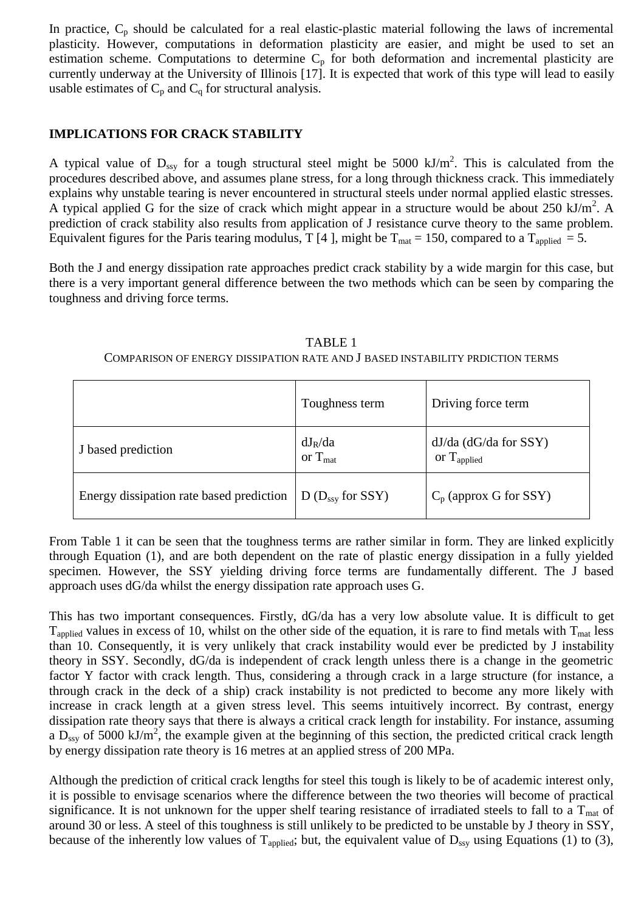In practice,  $C_p$  should be calculated for a real elastic-plastic material following the laws of incremental plasticity. However, computations in deformation plasticity are easier, and might be used to set an estimation scheme. Computations to determine  $C_p$  for both deformation and incremental plasticity are currently underway at the University of Illinois [17]. It is expected that work of this type will lead to easily usable estimates of  $C_p$  and  $C_q$  for structural analysis.

## **IMPLICATIONS FOR CRACK STABILITY**

A typical value of  $D_{ssy}$  for a tough structural steel might be 5000 kJ/m<sup>2</sup>. This is calculated from the procedures described above, and assumes plane stress, for a long through thickness crack. This immediately explains why unstable tearing is never encountered in structural steels under normal applied elastic stresses. A typical applied G for the size of crack which might appear in a structure would be about 250 kJ/m<sup>2</sup>. A prediction of crack stability also results from application of J resistance curve theory to the same problem. Equivalent figures for the Paris tearing modulus, T [4], might be  $T_{\text{mat}} = 150$ , compared to a  $T_{\text{applied}} = 5$ .

Both the J and energy dissipation rate approaches predict crack stability by a wide margin for this case, but there is a very important general difference between the two methods which can be seen by comparing the toughness and driving force terms.

| TABLE 1                                                                       |  |
|-------------------------------------------------------------------------------|--|
| COMPARISON OF ENERGY DISSIPATION RATE AND J BASED INSTABILITY PRDICTION TERMS |  |

|                                          | Toughness term                   | Driving force term                                    |
|------------------------------------------|----------------------------------|-------------------------------------------------------|
| J based prediction                       | $dJ_R/da$<br>or $T_{\text{mat}}$ | $dJ/da$ ( $dG/da$ for SSY)<br>or $T_{\text{applied}}$ |
| Energy dissipation rate based prediction | $D(D_{ssy}$ for SSY)             | $C_p$ (approx G for SSY)                              |

From Table 1 it can be seen that the toughness terms are rather similar in form. They are linked explicitly through Equation (1), and are both dependent on the rate of plastic energy dissipation in a fully yielded specimen. However, the SSY yielding driving force terms are fundamentally different. The J based approach uses dG/da whilst the energy dissipation rate approach uses G.

This has two important consequences. Firstly, dG/da has a very low absolute value. It is difficult to get  $T_{\text{applied}}$  values in excess of 10, whilst on the other side of the equation, it is rare to find metals with  $T_{\text{mat}}$  less than 10. Consequently, it is very unlikely that crack instability would ever be predicted by J instability theory in SSY. Secondly, dG/da is independent of crack length unless there is a change in the geometric factor Y factor with crack length. Thus, considering a through crack in a large structure (for instance, a through crack in the deck of a ship) crack instability is not predicted to become any more likely with increase in crack length at a given stress level. This seems intuitively incorrect. By contrast, energy dissipation rate theory says that there is always a critical crack length for instability. For instance, assuming a  $D_{ssy}$  of 5000 kJ/m<sup>2</sup>, the example given at the beginning of this section, the predicted critical crack length by energy dissipation rate theory is 16 metres at an applied stress of 200 MPa.

Although the prediction of critical crack lengths for steel this tough is likely to be of academic interest only, it is possible to envisage scenarios where the difference between the two theories will become of practical significance. It is not unknown for the upper shelf tearing resistance of irradiated steels to fall to a  $T_{\text{mat}}$  of around 30 or less. A steel of this toughness is still unlikely to be predicted to be unstable by J theory in SSY, because of the inherently low values of  $T_{\text{applied}}$ ; but, the equivalent value of  $D_{\text{ssy}}$  using Equations (1) to (3),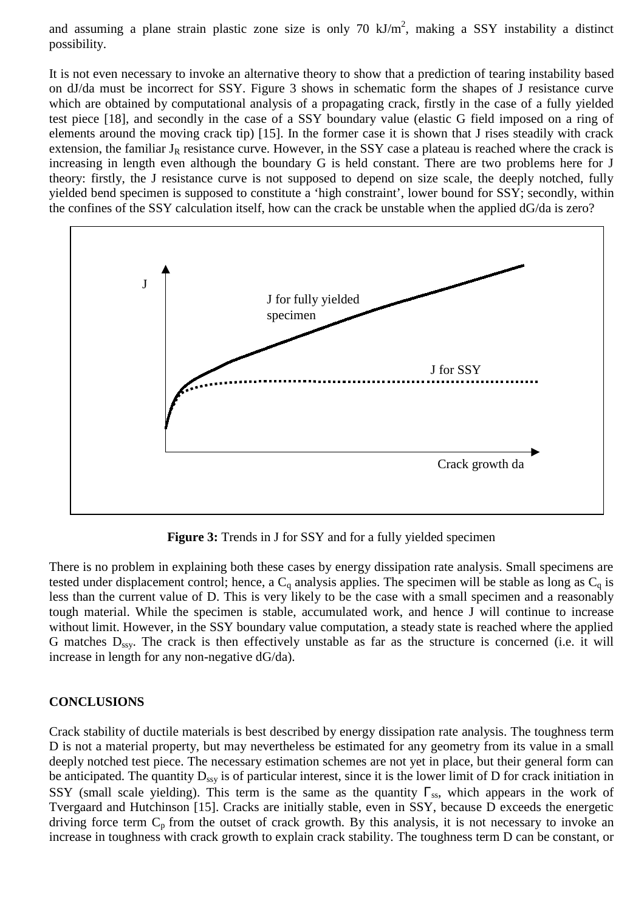and assuming a plane strain plastic zone size is only 70  $kJ/m<sup>2</sup>$ , making a SSY instability a distinct possibility.

It is not even necessary to invoke an alternative theory to show that a prediction of tearing instability based on dJ/da must be incorrect for SSY. Figure 3 shows in schematic form the shapes of J resistance curve which are obtained by computational analysis of a propagating crack, firstly in the case of a fully yielded test piece [18], and secondly in the case of a SSY boundary value (elastic G field imposed on a ring of elements around the moving crack tip) [15]. In the former case it is shown that J rises steadily with crack extension, the familiar  $J_R$  resistance curve. However, in the SSY case a plateau is reached where the crack is increasing in length even although the boundary G is held constant. There are two problems here for J theory: firstly, the J resistance curve is not supposed to depend on size scale, the deeply notched, fully yielded bend specimen is supposed to constitute a 'high constraint', lower bound for SSY; secondly, within the confines of the SSY calculation itself, how can the crack be unstable when the applied dG/da is zero?



**Figure 3:** Trends in J for SSY and for a fully yielded specimen

There is no problem in explaining both these cases by energy dissipation rate analysis. Small specimens are tested under displacement control; hence, a  $C_q$  analysis applies. The specimen will be stable as long as  $C_q$  is less than the current value of D. This is very likely to be the case with a small specimen and a reasonably tough material. While the specimen is stable, accumulated work, and hence J will continue to increase without limit. However, in the SSY boundary value computation, a steady state is reached where the applied G matches  $D_{ssy}$ . The crack is then effectively unstable as far as the structure is concerned (i.e. it will increase in length for any non-negative dG/da).

## **CONCLUSIONS**

Crack stability of ductile materials is best described by energy dissipation rate analysis. The toughness term D is not a material property, but may nevertheless be estimated for any geometry from its value in a small deeply notched test piece. The necessary estimation schemes are not yet in place, but their general form can be anticipated. The quantity  $D_{ssv}$  is of particular interest, since it is the lower limit of D for crack initiation in SSY (small scale yielding). This term is the same as the quantity  $\Gamma_{ss}$ , which appears in the work of Tvergaard and Hutchinson [15]. Cracks are initially stable, even in SSY, because D exceeds the energetic driving force term  $C_p$  from the outset of crack growth. By this analysis, it is not necessary to invoke an increase in toughness with crack growth to explain crack stability. The toughness term D can be constant, or